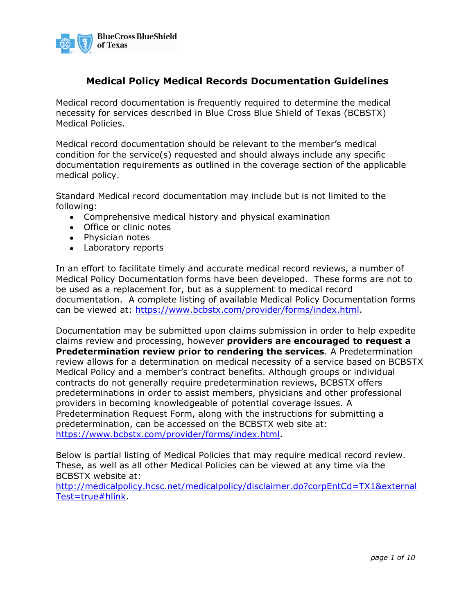

## **Medical Policy Medical Records Documentation Guidelines**

Medical record documentation is frequently required to determine the medical necessity for services described in Blue Cross Blue Shield of Texas (BCBSTX) Medical Policies.

Medical record documentation should be relevant to the member's medical condition for the service(s) requested and should always include any specific documentation requirements as outlined in the coverage section of the applicable medical policy.

Standard Medical record documentation may include but is not limited to the following:

- Comprehensive medical history and physical examination
- Office or clinic notes
- Physician notes
- Laboratory reports

In an effort to facilitate timely and accurate medical record reviews, a number of Medical Policy Documentation forms have been developed. These forms are not to be used as a replacement for, but as a supplement to medical record documentation. A complete listing of available Medical Policy Documentation forms can be viewed at: [https://www.bcbstx.com/provider/forms/index.html.](https://www.bcbstx.com/provider/forms/index.html)

Documentation may be submitted upon claims submission in order to help expedite claims review and processing, however **providers are encouraged to request a Predetermination review prior to rendering the services**. A Predetermination review allows for a determination on medical necessity of a service based on BCBSTX Medical Policy and a member's contract benefits. Although groups or individual contracts do not generally require predetermination reviews, BCBSTX offers predeterminations in order to assist members, physicians and other professional providers in becoming knowledgeable of potential coverage issues. A Predetermination Request Form, along with the instructions for submitting a predetermination, can be accessed on the BCBSTX web site at: [https://www.bcbstx.com/provider/forms/index.html.](https://www.bcbstx.com/provider/forms/index.html)

Below is partial listing of Medical Policies that may require medical record review. These, as well as all other Medical Policies can be viewed at any time via the BCBSTX website at:

[http://medicalpolicy.hcsc.net/medicalpolicy/disclaimer.do?corpEntCd=TX1&external](http://medicalpolicy.hcsc.net/medicalpolicy/disclaimer.do?corpEntCd=TX1&externalTest=true#hlink) [Test=true#hlink.](http://medicalpolicy.hcsc.net/medicalpolicy/disclaimer.do?corpEntCd=TX1&externalTest=true#hlink)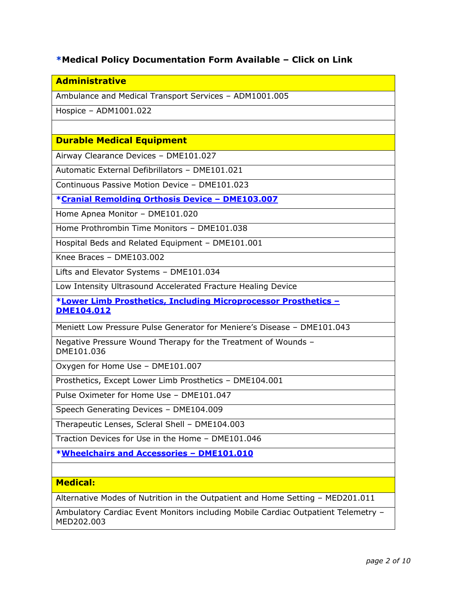# **\*Medical Policy Documentation Form Available – Click on Link**

| <b>Administrative</b>                                                          |
|--------------------------------------------------------------------------------|
| Ambulance and Medical Transport Services - ADM1001.005                         |
| Hospice - ADM1001.022                                                          |
|                                                                                |
| <b>Durable Medical Equipment</b>                                               |
| Airway Clearance Devices - DME101.027                                          |
| Automatic External Defibrillators - DME101.021                                 |
| Continuous Passive Motion Device - DME101.023                                  |
| *Cranial Remolding Orthosis Device - DME103.007                                |
| Home Apnea Monitor - DME101.020                                                |
| Home Prothrombin Time Monitors - DME101.038                                    |
| Hospital Beds and Related Equipment - DME101.001                               |
| Knee Braces - DME103.002                                                       |
| Lifts and Elevator Systems - DME101.034                                        |
| Low Intensity Ultrasound Accelerated Fracture Healing Device                   |
| *Lower Limb Prosthetics, Including Microprocessor Prosthetics -<br>DME104.012  |
| Meniett Low Pressure Pulse Generator for Meniere's Disease - DME101.043        |
| Negative Pressure Wound Therapy for the Treatment of Wounds -<br>DME101.036    |
| Oxygen for Home Use - DME101.007                                               |
| Prosthetics, Except Lower Limb Prosthetics - DME104.001                        |
| Pulse Oximeter for Home Use - DME101.047                                       |
| Speech Generating Devices - DME104.009                                         |
| Therapeutic Lenses, Scleral Shell - DME104.003                                 |
| Traction Devices for Use in the Home - DME101.046                              |
| <b>*Wheelchairs and Accessories - DME101.010</b>                               |
|                                                                                |
| <b>Medical:</b>                                                                |
| Alternative Modes of Nutrition in the Outpatient and Home Setting - MED201.011 |
|                                                                                |

Ambulatory Cardiac Event Monitors including Mobile Cardiac Outpatient Telemetry – MED202.003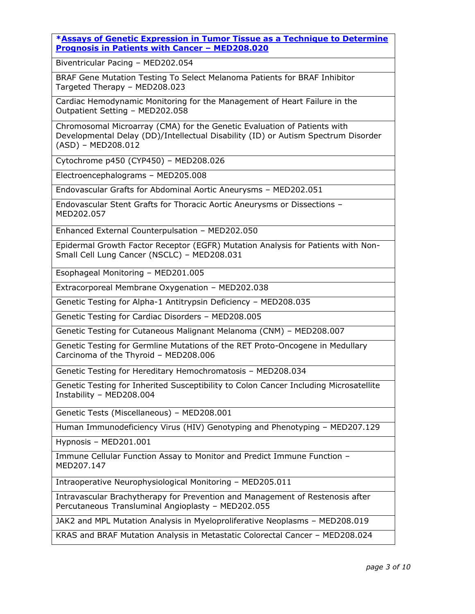#### **\*Assays of Genetic Expression in [Tumor Tissue as a Technique to Determine](http://www.bcbstx.com/provider/pdf/oncotype_dx.pdf)  [Prognosis in Patients with Cancer](http://www.bcbstx.com/provider/pdf/oncotype_dx.pdf) – MED208.020**

Biventricular Pacing – MED202.054

BRAF Gene Mutation Testing To Select Melanoma Patients for BRAF Inhibitor Targeted Therapy – MED208.023

Cardiac Hemodynamic Monitoring for the Management of Heart Failure in the Outpatient Setting – MED202.058

Chromosomal Microarray (CMA) for the Genetic Evaluation of Patients with Developmental Delay (DD)/Intellectual Disability (ID) or Autism Spectrum Disorder (ASD) – MED208.012

Cytochrome p450 (CYP450) – MED208.026

Electroencephalograms – MED205.008

Endovascular Grafts for Abdominal Aortic Aneurysms – MED202.051

Endovascular Stent Grafts for Thoracic Aortic Aneurysms or Dissections – MED202.057

Enhanced External Counterpulsation – MED202.050

Epidermal Growth Factor Receptor (EGFR) Mutation Analysis for Patients with Non-Small Cell Lung Cancer (NSCLC) – MED208.031

Esophageal Monitoring – MED201.005

Extracorporeal Membrane Oxygenation – MED202.038

Genetic Testing for Alpha-1 Antitrypsin Deficiency – MED208.035

Genetic Testing for Cardiac Disorders – MED208.005

Genetic Testing for Cutaneous Malignant Melanoma (CNM) – MED208.007

Genetic Testing for Germline Mutations of the RET Proto-Oncogene in Medullary Carcinoma of the Thyroid – MED208.006

Genetic Testing for Hereditary Hemochromatosis – MED208.034

Genetic Testing for Inherited Susceptibility to Colon Cancer Including Microsatellite Instability – MED208.004

Genetic Tests (Miscellaneous) – MED208.001

Human Immunodeficiency Virus (HIV) Genotyping and Phenotyping – MED207.129

Hypnosis – MED201.001

Immune Cellular Function Assay to Monitor and Predict Immune Function – MED207.147

Intraoperative Neurophysiological Monitoring – MED205.011

Intravascular Brachytherapy for Prevention and Management of Restenosis after Percutaneous Transluminal Angioplasty – MED202.055

JAK2 and MPL Mutation Analysis in Myeloproliferative Neoplasms – MED208.019

KRAS and BRAF Mutation Analysis in Metastatic Colorectal Cancer – MED208.024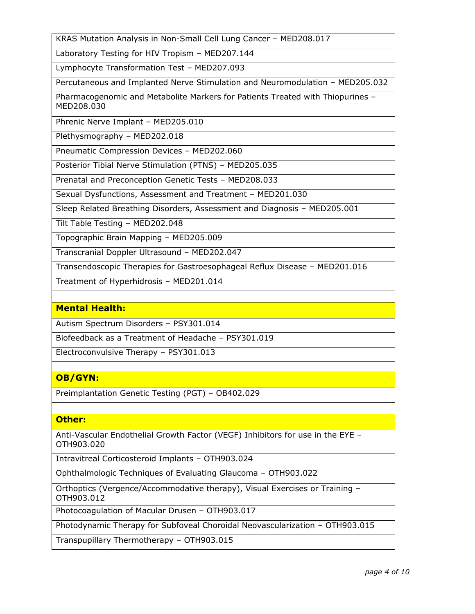KRAS Mutation Analysis in Non-Small Cell Lung Cancer – MED208.017

Laboratory Testing for HIV Tropism – MED207.144

Lymphocyte Transformation Test – MED207.093

Percutaneous and Implanted Nerve Stimulation and Neuromodulation – MED205.032

Pharmacogenomic and Metabolite Markers for Patients Treated with Thiopurines – MED208.030

Phrenic Nerve Implant – MED205.010

Plethysmography – MED202.018

Pneumatic Compression Devices – MED202.060

Posterior Tibial Nerve Stimulation (PTNS) – MED205.035

Prenatal and Preconception Genetic Tests – MED208.033

Sexual Dysfunctions, Assessment and Treatment – MED201.030

Sleep Related Breathing Disorders, Assessment and Diagnosis – MED205.001

Tilt Table Testing – MED202.048

Topographic Brain Mapping – MED205.009

Transcranial Doppler Ultrasound – MED202.047

Transendoscopic Therapies for Gastroesophageal Reflux Disease – MED201.016

Treatment of Hyperhidrosis – MED201.014

### **Mental Health:**

Autism Spectrum Disorders – PSY301.014

Biofeedback as a Treatment of Headache – PSY301.019

Electroconvulsive Therapy – PSY301.013

### **OB/GYN:**

Preimplantation Genetic Testing (PGT) – OB402.029

### **Other:**

Anti-Vascular Endothelial Growth Factor (VEGF) Inhibitors for use in the EYE – OTH903.020

Intravitreal Corticosteroid Implants – OTH903.024

Ophthalmologic Techniques of Evaluating Glaucoma – OTH903.022

Orthoptics (Vergence/Accommodative therapy), Visual Exercises or Training – OTH903.012

Photocoagulation of Macular Drusen – OTH903.017

Photodynamic Therapy for Subfoveal Choroidal Neovascularization – OTH903.015

Transpupillary Thermotherapy – OTH903.015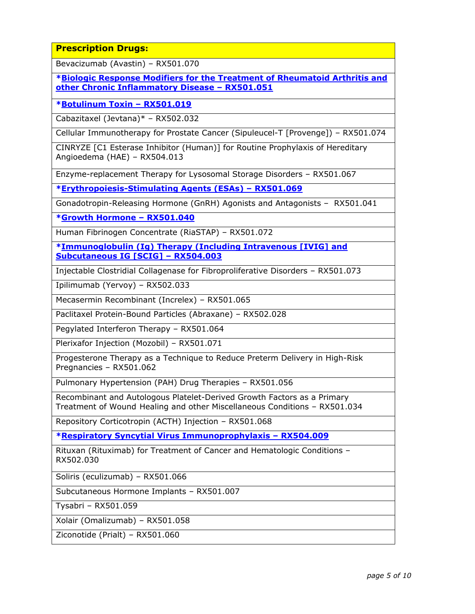**Prescription Drugs:**

Bevacizumab (Avastin) – RX501.070

**[\\*Biologic Response Modifiers for the Treatment of Rheumatoid Arthritis and](http://www.bcbstx.com/provider/pdf/remicade.pdf)  [other Chronic Inflammatory Disease](http://www.bcbstx.com/provider/pdf/remicade.pdf) – RX501.051**

**[\\*Botulinum Toxin](http://www.bcbstx.com/provider/pdf/botulinum_form.pdf) – RX501.019**

Cabazitaxel (Jevtana)\* – RX502.032

Cellular Immunotherapy for Prostate Cancer (Sipuleucel-T [Provenge]) – RX501.074

CINRYZE [C1 Esterase Inhibitor (Human)] for Routine Prophylaxis of Hereditary Angioedema (HAE) – RX504.013

Enzyme-replacement Therapy for Lysosomal Storage Disorders – RX501.067

**[\\*Erythropoiesis-Stimulating Agents \(ESAs\)](http://www.bcbstx.com/provider/pdf/esa_form.pdf) – RX501.069**

Gonadotropin-Releasing Hormone (GnRH) Agonists and Antagonists – RX501.041

**[\\*Growth Hormone](http://www.bcbstx.com/provider/pdf/growth_hormone_form.pdf) – RX501.040**

Human Fibrinogen Concentrate (RiaSTAP) – RX501.072

**\*Immunoglobulin (Ig) Therapy [\(Including Intravenous \[IVIG\] and](http://www.bcbstx.com/provider/pdf/ivig_form.pdf)  [Subcutaneous IG \[SCIG\]](http://www.bcbstx.com/provider/pdf/ivig_form.pdf) – RX504.003**

Injectable Clostridial Collagenase for Fibroproliferative Disorders – RX501.073

Ipilimumab (Yervoy) – RX502.033

Mecasermin Recombinant (Increlex) – RX501.065

Paclitaxel Protein-Bound Particles (Abraxane) – RX502.028

Pegylated Interferon Therapy – RX501.064

Plerixafor Injection (Mozobil) – RX501.071

Progesterone Therapy as a Technique to Reduce Preterm Delivery in High-Risk Pregnancies – RX501.062

Pulmonary Hypertension (PAH) Drug Therapies – RX501.056

Recombinant and Autologous Platelet-Derived Growth Factors as a Primary Treatment of Wound Healing and other Miscellaneous Conditions – RX501.034

Repository Corticotropin (ACTH) Injection – RX501.068

**[\\*Respiratory Syncytial Virus Immunoprophylaxis](http://www.bcbstx.com/provider/pdf/synagis_request_form.pdf) – RX504.009**

Rituxan (Rituximab) for Treatment of Cancer and Hematologic Conditions – RX502.030

Soliris (eculizumab) – RX501.066

Subcutaneous Hormone Implants – RX501.007

Tysabri – RX501.059

Xolair (Omalizumab) – RX501.058

Ziconotide (Prialt) – RX501.060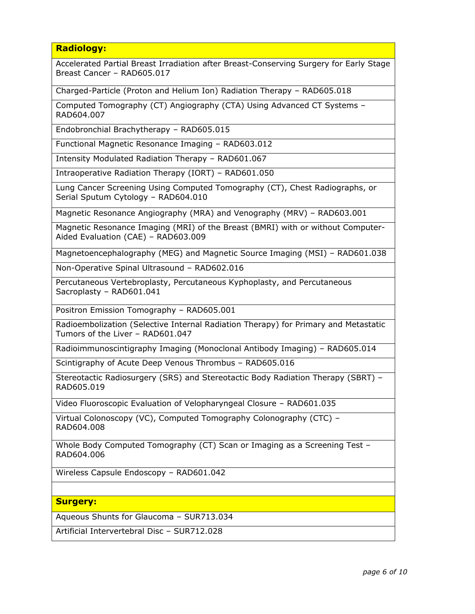#### **Radiology:**

Accelerated Partial Breast Irradiation after Breast-Conserving Surgery for Early Stage Breast Cancer – RAD605.017

Charged-Particle (Proton and Helium Ion) Radiation Therapy – RAD605.018

Computed Tomography (CT) Angiography (CTA) Using Advanced CT Systems – RAD604.007

Endobronchial Brachytherapy – RAD605.015

Functional Magnetic Resonance Imaging – RAD603.012

Intensity Modulated Radiation Therapy – RAD601.067

Intraoperative Radiation Therapy (IORT) – RAD601.050

Lung Cancer Screening Using Computed Tomography (CT), Chest Radiographs, or Serial Sputum Cytology – RAD604.010

Magnetic Resonance Angiography (MRA) and Venography (MRV) – RAD603.001

Magnetic Resonance Imaging (MRI) of the Breast (BMRI) with or without Computer-Aided Evaluation (CAE) – RAD603.009

Magnetoencephalography (MEG) and Magnetic Source Imaging (MSI) – RAD601.038

Non-Operative Spinal Ultrasound – RAD602.016

Percutaneous Vertebroplasty, Percutaneous Kyphoplasty, and Percutaneous Sacroplasty – RAD601.041

Positron Emission Tomography – RAD605.001

Radioembolization (Selective Internal Radiation Therapy) for Primary and Metastatic Tumors of the Liver – RAD601.047

Radioimmunoscintigraphy Imaging (Monoclonal Antibody Imaging) – RAD605.014

Scintigraphy of Acute Deep Venous Thrombus – RAD605.016

Stereotactic Radiosurgery (SRS) and Stereotactic Body Radiation Therapy (SBRT) – RAD605.019

Video Fluoroscopic Evaluation of Velopharyngeal Closure – RAD601.035

Virtual Colonoscopy (VC), Computed Tomography Colonography (CTC) – RAD604.008

Whole Body Computed Tomography (CT) Scan or Imaging as a Screening Test – RAD604.006

Wireless Capsule Endoscopy – RAD601.042

#### **Surgery:**

Aqueous Shunts for Glaucoma – SUR713.034

Artificial Intervertebral Disc – SUR712.028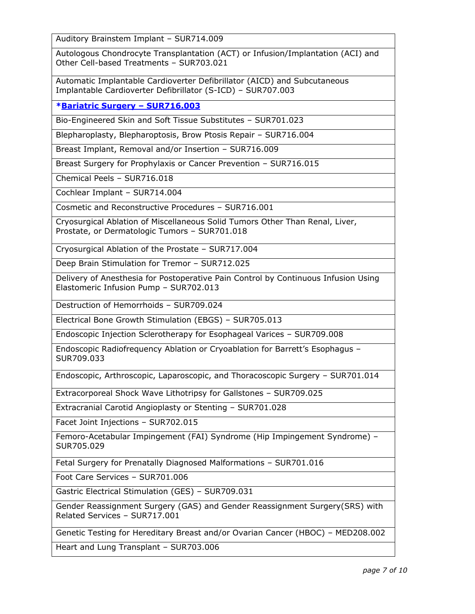Auditory Brainstem Implant – SUR714.009

Autologous Chondrocyte Transplantation (ACT) or Infusion/Implantation (ACI) and Other Cell-based Treatments – SUR703.021

Automatic Implantable Cardioverter Defibrillator (AICD) and Subcutaneous Implantable Cardioverter Defibrillator (S-ICD) – SUR707.003

**[\\*Bariatric Surgery](http://www.bcbstx.com/provider/pdf/bariatric_surgery.pdf) – SUR716.003**

Bio-Engineered Skin and Soft Tissue Substitutes – SUR701.023

Blepharoplasty, Blepharoptosis, Brow Ptosis Repair – SUR716.004

Breast Implant, Removal and/or Insertion – SUR716.009

Breast Surgery for Prophylaxis or Cancer Prevention – SUR716.015

Chemical Peels – SUR716.018

Cochlear Implant – SUR714.004

Cosmetic and Reconstructive Procedures – SUR716.001

Cryosurgical Ablation of Miscellaneous Solid Tumors Other Than Renal, Liver, Prostate, or Dermatologic Tumors – SUR701.018

Cryosurgical Ablation of the Prostate – SUR717.004

Deep Brain Stimulation for Tremor – SUR712.025

Delivery of Anesthesia for Postoperative Pain Control by Continuous Infusion Using Elastomeric Infusion Pump – SUR702.013

Destruction of Hemorrhoids – SUR709.024

Electrical Bone Growth Stimulation (EBGS) – SUR705.013

Endoscopic Injection Sclerotherapy for Esophageal Varices – SUR709.008

Endoscopic Radiofrequency Ablation or Cryoablation for Barrett's Esophagus – SUR709.033

Endoscopic, Arthroscopic, Laparoscopic, and Thoracoscopic Surgery – SUR701.014

Extracorporeal Shock Wave Lithotripsy for Gallstones – SUR709.025

Extracranial Carotid Angioplasty or Stenting – SUR701.028

Facet Joint Injections – SUR702.015

Femoro-Acetabular Impingement (FAI) Syndrome (Hip Impingement Syndrome) – SUR705.029

Fetal Surgery for Prenatally Diagnosed Malformations – SUR701.016

Foot Care Services – SUR701.006

Gastric Electrical Stimulation (GES) – SUR709.031

Gender Reassignment Surgery (GAS) and Gender Reassignment Surgery(SRS) with Related Services – SUR717.001

Genetic Testing for Hereditary Breast and/or Ovarian Cancer (HBOC) – MED208.002

Heart and Lung Transplant – SUR703.006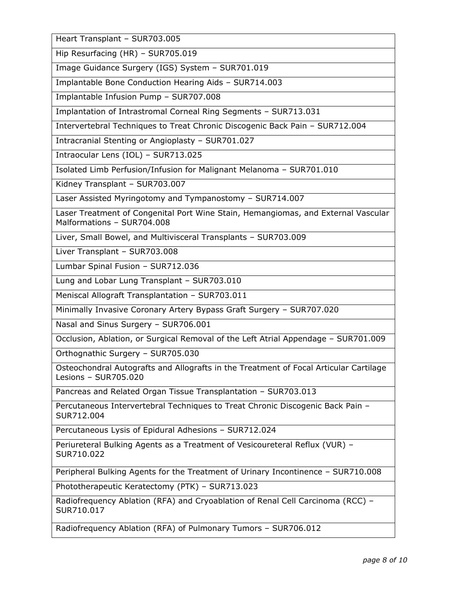Heart Transplant – SUR703.005

Hip Resurfacing (HR) – SUR705.019

Image Guidance Surgery (IGS) System – SUR701.019

Implantable Bone Conduction Hearing Aids – SUR714.003

Implantable Infusion Pump – SUR707.008

Implantation of Intrastromal Corneal Ring Segments – SUR713.031

Intervertebral Techniques to Treat Chronic Discogenic Back Pain – SUR712.004

Intracranial Stenting or Angioplasty – SUR701.027

Intraocular Lens (IOL) – SUR713.025

Isolated Limb Perfusion/Infusion for Malignant Melanoma – SUR701.010

Kidney Transplant – SUR703.007

Laser Assisted Myringotomy and Tympanostomy – SUR714.007

Laser Treatment of Congenital Port Wine Stain, Hemangiomas, and External Vascular Malformations – SUR704.008

Liver, Small Bowel, and Multivisceral Transplants – SUR703.009

Liver Transplant – SUR703.008

Lumbar Spinal Fusion – SUR712.036

Lung and Lobar Lung Transplant – SUR703.010

Meniscal Allograft Transplantation – SUR703.011

Minimally Invasive Coronary Artery Bypass Graft Surgery – SUR707.020

Nasal and Sinus Surgery – SUR706.001

Occlusion, Ablation, or Surgical Removal of the Left Atrial Appendage – SUR701.009

Orthognathic Surgery – SUR705.030

Osteochondral Autografts and Allografts in the Treatment of Focal Articular Cartilage Lesions – SUR705.020

Pancreas and Related Organ Tissue Transplantation – SUR703.013

Percutaneous Intervertebral Techniques to Treat Chronic Discogenic Back Pain – SUR712.004

Percutaneous Lysis of Epidural Adhesions – SUR712.024

Periureteral Bulking Agents as a Treatment of Vesicoureteral Reflux (VUR) – SUR710.022

Peripheral Bulking Agents for the Treatment of Urinary Incontinence – SUR710.008

Phototherapeutic Keratectomy (PTK) – SUR713.023

Radiofrequency Ablation (RFA) and Cryoablation of Renal Cell Carcinoma (RCC) – SUR710.017

Radiofrequency Ablation (RFA) of Pulmonary Tumors – SUR706.012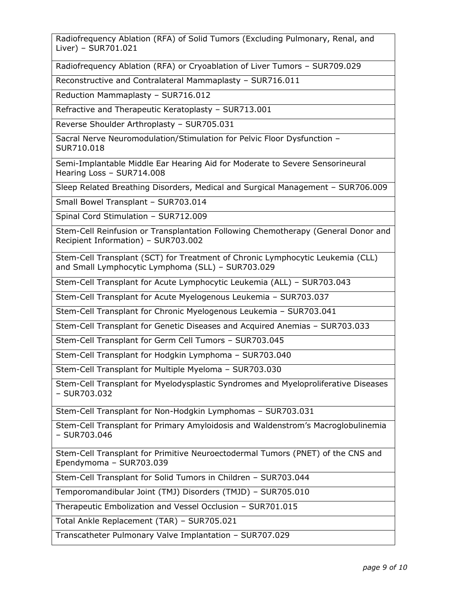Radiofrequency Ablation (RFA) of Solid Tumors (Excluding Pulmonary, Renal, and Liver) – SUR701.021

Radiofrequency Ablation (RFA) or Cryoablation of Liver Tumors – SUR709.029

Reconstructive and Contralateral Mammaplasty – SUR716.011

Reduction Mammaplasty – SUR716.012

Refractive and Therapeutic Keratoplasty – SUR713.001

Reverse Shoulder Arthroplasty – SUR705.031

Sacral Nerve Neuromodulation/Stimulation for Pelvic Floor Dysfunction – SUR710.018

Semi-Implantable Middle Ear Hearing Aid for Moderate to Severe Sensorineural Hearing Loss – SUR714.008

Sleep Related Breathing Disorders, Medical and Surgical Management – SUR706.009

Small Bowel Transplant – SUR703.014

Spinal Cord Stimulation – SUR712.009

Stem-Cell Reinfusion or Transplantation Following Chemotherapy (General Donor and Recipient Information) – SUR703.002

Stem-Cell Transplant (SCT) for Treatment of Chronic Lymphocytic Leukemia (CLL) and Small Lymphocytic Lymphoma (SLL) – SUR703.029

Stem-Cell Transplant for Acute Lymphocytic Leukemia (ALL) – SUR703.043

Stem-Cell Transplant for Acute Myelogenous Leukemia – SUR703.037

Stem-Cell Transplant for Chronic Myelogenous Leukemia – SUR703.041

Stem-Cell Transplant for Genetic Diseases and Acquired Anemias – SUR703.033

Stem-Cell Transplant for Germ Cell Tumors – SUR703.045

Stem-Cell Transplant for Hodgkin Lymphoma – SUR703.040

Stem-Cell Transplant for Multiple Myeloma – SUR703.030

Stem-Cell Transplant for Myelodysplastic Syndromes and Myeloproliferative Diseases – SUR703.032

Stem-Cell Transplant for Non-Hodgkin Lymphomas – SUR703.031

Stem-Cell Transplant for Primary Amyloidosis and Waldenstrom's Macroglobulinemia – SUR703.046

Stem-Cell Transplant for Primitive Neuroectodermal Tumors (PNET) of the CNS and Ependymoma – SUR703.039

Stem-Cell Transplant for Solid Tumors in Children – SUR703.044

Temporomandibular Joint (TMJ) Disorders (TMJD) – SUR705.010

Therapeutic Embolization and Vessel Occlusion – SUR701.015

Total Ankle Replacement (TAR) – SUR705.021

Transcatheter Pulmonary Valve Implantation – SUR707.029